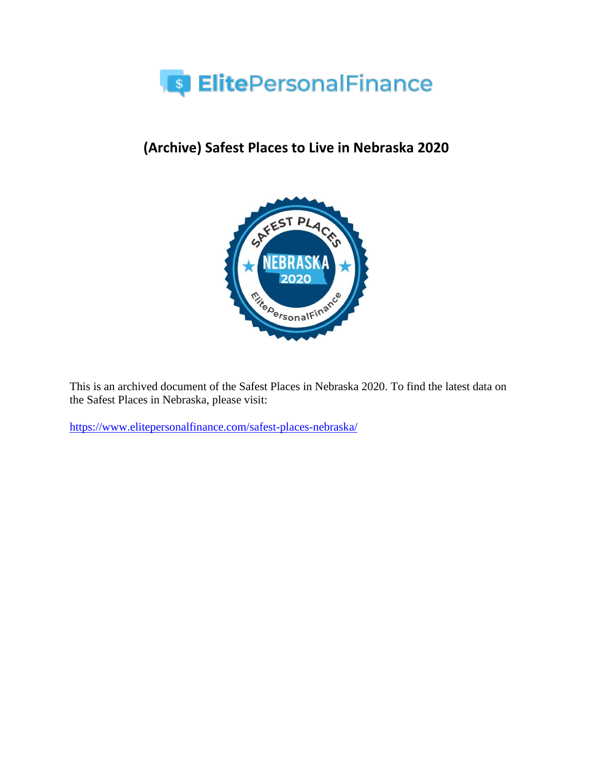

# **(Archive) Safest Places to Live in Nebraska 2020**



This is an archived document of the Safest Places in Nebraska 2020. To find the latest data on the Safest Places in Nebraska, please visit:

<https://www.elitepersonalfinance.com/safest-places-nebraska/>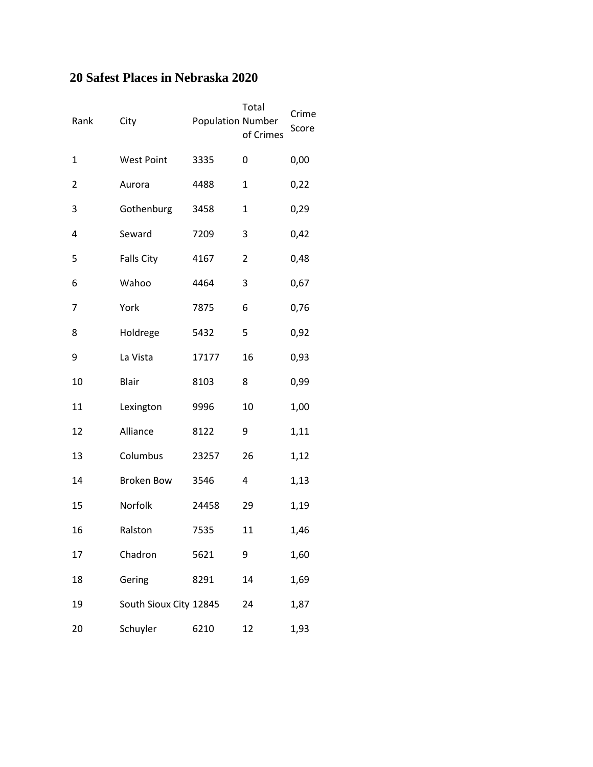### **20 Safest Places in Nebraska 2020**

| Rank | City                   | <b>Population Number</b> | Total<br>of Crimes | Crime<br>Score |
|------|------------------------|--------------------------|--------------------|----------------|
| 1    | <b>West Point</b>      | 3335                     | 0                  | 0,00           |
| 2    | Aurora                 | 4488                     | $\mathbf 1$        | 0,22           |
| 3    | Gothenburg             | 3458                     | $\mathbf{1}$       | 0,29           |
| 4    | Seward                 | 7209                     | 3                  | 0,42           |
| 5    | <b>Falls City</b>      | 4167                     | 2                  | 0,48           |
| 6    | Wahoo                  | 4464                     | 3                  | 0,67           |
| 7    | York                   | 7875                     | 6                  | 0,76           |
| 8    | Holdrege               | 5432                     | 5                  | 0,92           |
| 9    | La Vista               | 17177                    | 16                 | 0,93           |
| 10   | <b>Blair</b>           | 8103                     | 8                  | 0,99           |
| 11   | Lexington              | 9996                     | 10                 | 1,00           |
| 12   | Alliance               | 8122                     | 9                  | 1,11           |
| 13   | Columbus               | 23257                    | 26                 | 1,12           |
| 14   | <b>Broken Bow</b>      | 3546                     | 4                  | 1,13           |
| 15   | Norfolk                | 24458                    | 29                 | 1,19           |
| 16   | Ralston                | 7535                     | 11                 | 1,46           |
| 17   | Chadron                | 5621                     | 9                  | 1,60           |
| 18   | Gering                 | 8291                     | 14                 | 1,69           |
| 19   | South Sioux City 12845 |                          | 24                 | 1,87           |
| 20   | Schuyler               | 6210                     | 12                 | 1,93           |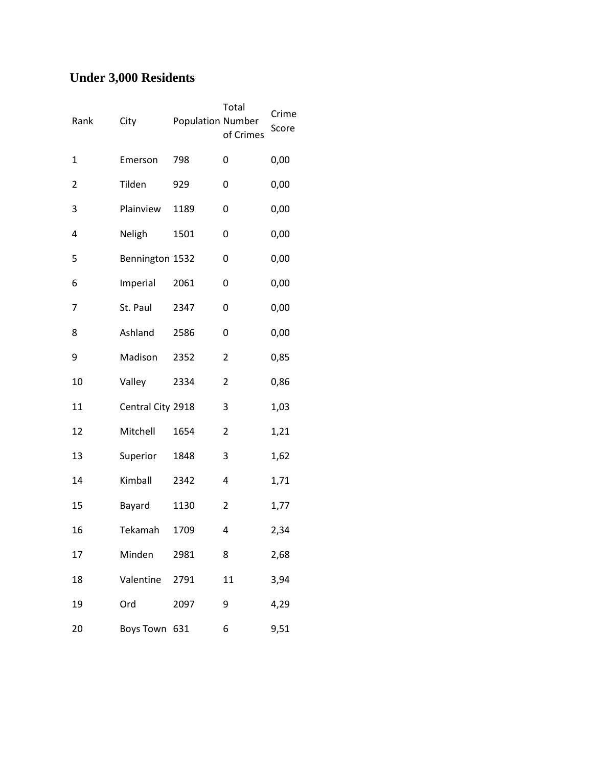## **Under 3,000 Residents**

| Rank                    | City              | <b>Population Number</b> | Total<br>of Crimes | Crime<br>Score |
|-------------------------|-------------------|--------------------------|--------------------|----------------|
| 1                       | Emerson           | 798                      | 0                  | 0,00           |
| $\overline{\mathbf{c}}$ | Tilden            | 929                      | 0                  | 0,00           |
| 3                       | Plainview         | 1189                     | 0                  | 0,00           |
| 4                       | Neligh            | 1501                     | 0                  | 0,00           |
| 5                       | Bennington 1532   |                          | 0                  | 0,00           |
| 6                       | Imperial          | 2061                     | 0                  | 0,00           |
| 7                       | St. Paul          | 2347                     | 0                  | 0,00           |
| 8                       | Ashland           | 2586                     | 0                  | 0,00           |
| 9                       | Madison           | 2352                     | 2                  | 0,85           |
| 10                      | Valley            | 2334                     | 2                  | 0,86           |
| 11                      | Central City 2918 |                          | 3                  | 1,03           |
| 12                      | Mitchell          | 1654                     | 2                  | 1,21           |
| 13                      | Superior          | 1848                     | 3                  | 1,62           |
| 14                      | Kimball           | 2342                     | 4                  | 1,71           |
| 15                      | Bayard            | 1130                     | 2                  | 1,77           |
| 16                      | Tekamah           | 1709                     | 4                  | 2,34           |
| 17                      | Minden            | 2981                     | 8                  | 2,68           |
| 18                      | Valentine         | 2791                     | 11                 | 3,94           |
| 19                      | Ord               | 2097                     | 9                  | 4,29           |
| 20                      | Boys Town         | 631                      | 6                  | 9,51           |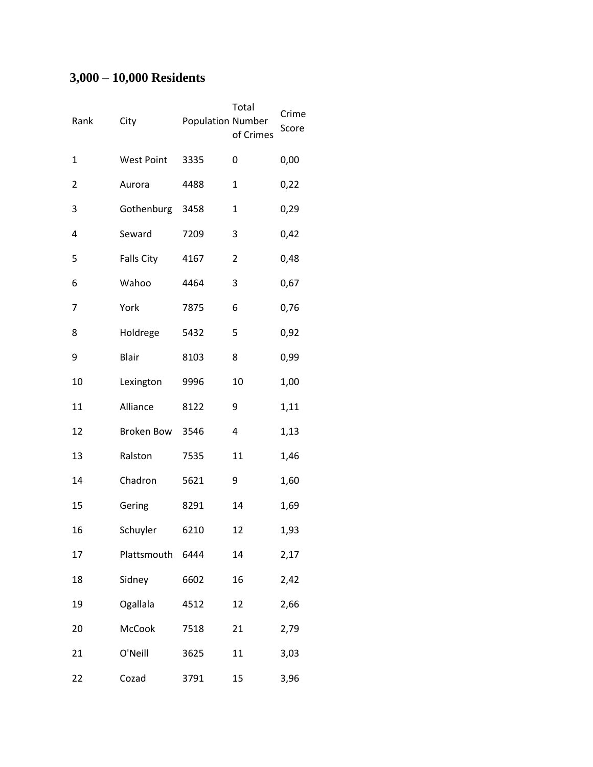## **3,000 – 10,000 Residents**

| Rank | City              | <b>Population Number</b> | Total<br>of Crimes | Crime<br>Score |
|------|-------------------|--------------------------|--------------------|----------------|
| 1    | <b>West Point</b> | 3335                     | 0                  | 0,00           |
| 2    | Aurora            | 4488                     | 1                  | 0,22           |
| 3    | Gothenburg        | 3458                     | 1                  | 0,29           |
| 4    | Seward            | 7209                     | 3                  | 0,42           |
| 5    | <b>Falls City</b> | 4167                     | 2                  | 0,48           |
| 6    | Wahoo             | 4464                     | 3                  | 0,67           |
| 7    | York              | 7875                     | 6                  | 0,76           |
| 8    | Holdrege          | 5432                     | 5                  | 0,92           |
| 9    | <b>Blair</b>      | 8103                     | 8                  | 0,99           |
| 10   | Lexington         | 9996                     | 10                 | 1,00           |
| 11   | Alliance          | 8122                     | 9                  | 1,11           |
| 12   | Broken Bow        | 3546                     | 4                  | 1,13           |
| 13   | Ralston           | 7535                     | 11                 | 1,46           |
| 14   | Chadron           | 5621                     | 9                  | 1,60           |
| 15   | Gering            | 8291                     | 14                 | 1,69           |
| 16   | Schuyler          | 6210                     | 12                 | 1,93           |
| 17   | Plattsmouth       | 6444                     | 14                 | 2,17           |
| 18   | Sidney            | 6602                     | 16                 | 2,42           |
| 19   | Ogallala          | 4512                     | 12                 | 2,66           |
| 20   | McCook            | 7518                     | 21                 | 2,79           |
| 21   | O'Neill           | 3625                     | 11                 | 3,03           |
| 22   | Cozad             | 3791                     | 15                 | 3,96           |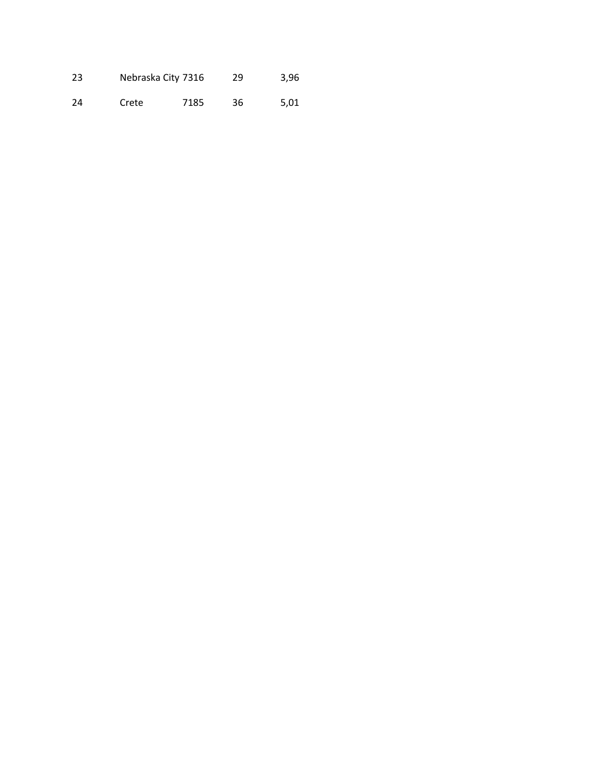| 23 | Nebraska City 7316 |      | 29 | 3,96 |
|----|--------------------|------|----|------|
| 24 | Crete              | 7185 | 36 | 5.01 |